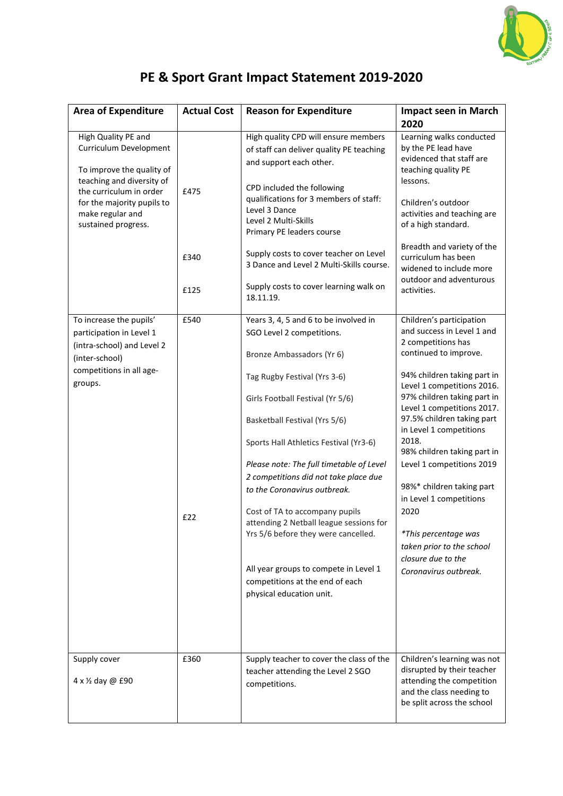

## **PE & Sport Grant Impact Statement 2019-2020**

| <b>Area of Expenditure</b>                                                                                                                                                                                  | <b>Actual Cost</b>   | <b>Reason for Expenditure</b>                                                                                                                                                                                                                                                                                                                                                                          | <b>Impact seen in March</b><br>2020                                                                                                                                                                                                                                                                                                                                       |
|-------------------------------------------------------------------------------------------------------------------------------------------------------------------------------------------------------------|----------------------|--------------------------------------------------------------------------------------------------------------------------------------------------------------------------------------------------------------------------------------------------------------------------------------------------------------------------------------------------------------------------------------------------------|---------------------------------------------------------------------------------------------------------------------------------------------------------------------------------------------------------------------------------------------------------------------------------------------------------------------------------------------------------------------------|
| High Quality PE and<br>Curriculum Development<br>To improve the quality of<br>teaching and diversity of<br>the curriculum in order<br>for the majority pupils to<br>make regular and<br>sustained progress. | £475<br>£340<br>£125 | High quality CPD will ensure members<br>of staff can deliver quality PE teaching<br>and support each other.<br>CPD included the following<br>qualifications for 3 members of staff:<br>Level 3 Dance<br>Level 2 Multi-Skills<br>Primary PE leaders course<br>Supply costs to cover teacher on Level<br>3 Dance and Level 2 Multi-Skills course.<br>Supply costs to cover learning walk on<br>18.11.19. | Learning walks conducted<br>by the PE lead have<br>evidenced that staff are<br>teaching quality PE<br>lessons.<br>Children's outdoor<br>activities and teaching are<br>of a high standard.<br>Breadth and variety of the<br>curriculum has been<br>widened to include more<br>outdoor and adventurous<br>activities.                                                      |
| To increase the pupils'<br>participation in Level 1<br>(intra-school) and Level 2<br>(inter-school)<br>competitions in all age-<br>groups.                                                                  | £540                 | Years 3, 4, 5 and 6 to be involved in<br>SGO Level 2 competitions.<br>Bronze Ambassadors (Yr 6)                                                                                                                                                                                                                                                                                                        | Children's participation<br>and success in Level 1 and<br>2 competitions has<br>continued to improve.                                                                                                                                                                                                                                                                     |
|                                                                                                                                                                                                             | £22                  | Tag Rugby Festival (Yrs 3-6)<br>Girls Football Festival (Yr 5/6)<br>Basketball Festival (Yrs 5/6)<br>Sports Hall Athletics Festival (Yr3-6)<br>Please note: The full timetable of Level<br>2 competitions did not take place due<br>to the Coronavirus outbreak.<br>Cost of TA to accompany pupils<br>attending 2 Netball league sessions for<br>Yrs 5/6 before they were cancelled.                   | 94% children taking part in<br>Level 1 competitions 2016.<br>97% children taking part in<br>Level 1 competitions 2017.<br>97.5% children taking part<br>in Level 1 competitions<br>2018.<br>98% children taking part in<br>Level 1 competitions 2019<br>98%* children taking part<br>in Level 1 competitions<br>2020<br>*This percentage was<br>taken prior to the school |
|                                                                                                                                                                                                             |                      | All year groups to compete in Level 1<br>competitions at the end of each<br>physical education unit.                                                                                                                                                                                                                                                                                                   | closure due to the<br>Coronavirus outbreak.                                                                                                                                                                                                                                                                                                                               |
| Supply cover<br>4 x 1/2 day @ £90                                                                                                                                                                           | £360                 | Supply teacher to cover the class of the<br>teacher attending the Level 2 SGO<br>competitions.                                                                                                                                                                                                                                                                                                         | Children's learning was not<br>disrupted by their teacher<br>attending the competition<br>and the class needing to<br>be split across the school                                                                                                                                                                                                                          |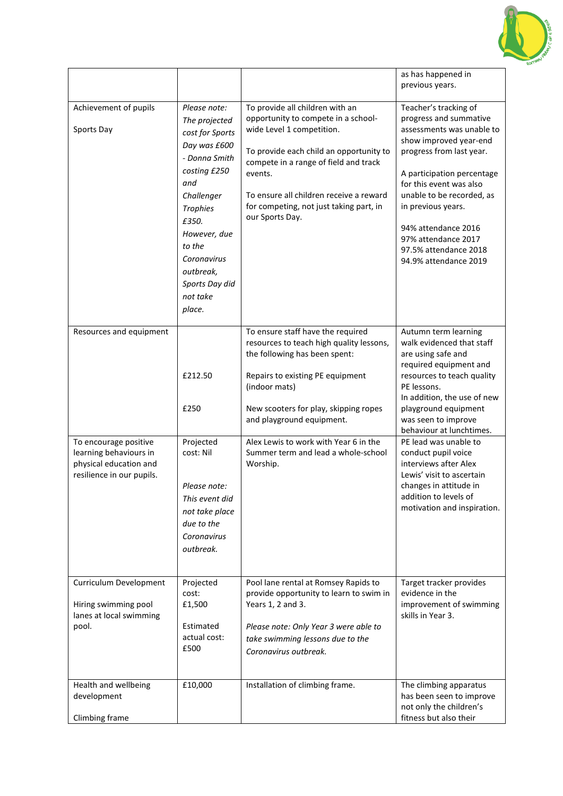

|                                                                                                        |                                                                                                                                                                                                                                                  |                                                                                                                                                                                                                                                                                                             | as has happened in<br>previous years.                                                                                                                                                                                                                                                                                                          |
|--------------------------------------------------------------------------------------------------------|--------------------------------------------------------------------------------------------------------------------------------------------------------------------------------------------------------------------------------------------------|-------------------------------------------------------------------------------------------------------------------------------------------------------------------------------------------------------------------------------------------------------------------------------------------------------------|------------------------------------------------------------------------------------------------------------------------------------------------------------------------------------------------------------------------------------------------------------------------------------------------------------------------------------------------|
| Achievement of pupils<br>Sports Day                                                                    | Please note:<br>The projected<br>cost for Sports<br>Day was £600<br>- Donna Smith<br>costing £250<br>and<br>Challenger<br><b>Trophies</b><br>£350.<br>However, due<br>to the<br>Coronavirus<br>outbreak,<br>Sports Day did<br>not take<br>place. | To provide all children with an<br>opportunity to compete in a school-<br>wide Level 1 competition.<br>To provide each child an opportunity to<br>compete in a range of field and track<br>events.<br>To ensure all children receive a reward<br>for competing, not just taking part, in<br>our Sports Day. | Teacher's tracking of<br>progress and summative<br>assessments was unable to<br>show improved year-end<br>progress from last year.<br>A participation percentage<br>for this event was also<br>unable to be recorded, as<br>in previous years.<br>94% attendance 2016<br>97% attendance 2017<br>97.5% attendance 2018<br>94.9% attendance 2019 |
| Resources and equipment                                                                                | £212.50<br>£250                                                                                                                                                                                                                                  | To ensure staff have the required<br>resources to teach high quality lessons,<br>the following has been spent:<br>Repairs to existing PE equipment<br>(indoor mats)<br>New scooters for play, skipping ropes<br>and playground equipment.                                                                   | Autumn term learning<br>walk evidenced that staff<br>are using safe and<br>required equipment and<br>resources to teach quality<br>PE lessons.<br>In addition, the use of new<br>playground equipment<br>was seen to improve<br>behaviour at lunchtimes.                                                                                       |
| To encourage positive<br>learning behaviours in<br>physical education and<br>resilience in our pupils. | Projected<br>cost: Nil<br>Please note:<br>This event did<br>not take place<br>due to the<br>Coronavirus<br>outbreak.                                                                                                                             | Alex Lewis to work with Year 6 in the<br>Summer term and lead a whole-school<br>Worship.                                                                                                                                                                                                                    | PE lead was unable to<br>conduct pupil voice<br>interviews after Alex<br>Lewis' visit to ascertain<br>changes in attitude in<br>addition to levels of<br>motivation and inspiration.                                                                                                                                                           |
| Curriculum Development<br>Hiring swimming pool<br>lanes at local swimming<br>pool.                     | Projected<br>cost:<br>£1,500<br>Estimated<br>actual cost:<br>£500                                                                                                                                                                                | Pool lane rental at Romsey Rapids to<br>provide opportunity to learn to swim in<br>Years 1, 2 and 3.<br>Please note: Only Year 3 were able to<br>take swimming lessons due to the<br>Coronavirus outbreak.                                                                                                  | Target tracker provides<br>evidence in the<br>improvement of swimming<br>skills in Year 3.                                                                                                                                                                                                                                                     |
| Health and wellbeing<br>development<br>Climbing frame                                                  | £10,000                                                                                                                                                                                                                                          | Installation of climbing frame.                                                                                                                                                                                                                                                                             | The climbing apparatus<br>has been seen to improve<br>not only the children's<br>fitness but also their                                                                                                                                                                                                                                        |